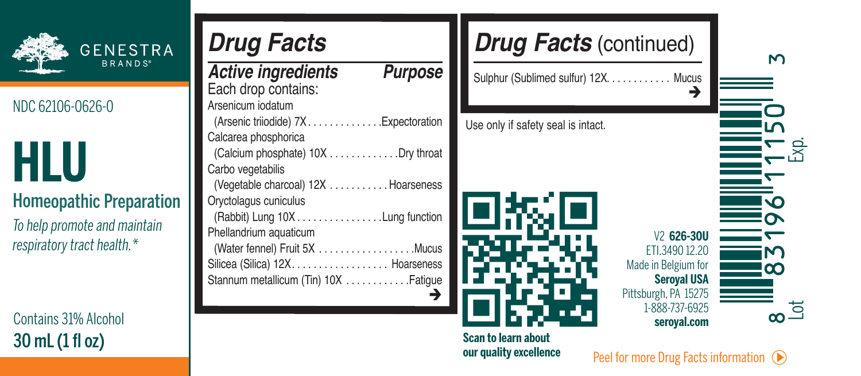

Contains 31%Alcohol

| <b>GENESTRA</b><br><b>BRANDS</b>                           | <b>Drug Facts</b><br>Purpose<br><b>Active ingredients</b>                                                                           | <b>Drug Facts (</b><br>Sulphur (Sublimed sulfur) 12) |
|------------------------------------------------------------|-------------------------------------------------------------------------------------------------------------------------------------|------------------------------------------------------|
| NDC 62106-0626-0                                           | Each drop contains:<br>Arsenicum indatum<br>.Expectoration<br>(Arsenic triiodide) 7X                                                | Use only if safety seal is intact.                   |
| HLU                                                        | Calcarea phosphorica<br>(Calcium phosphate) 10X Dry throat<br>Carbo vegetabilis                                                     |                                                      |
| <b>Homeopathic Preparation</b>                             | (Vegetable charcoal) 12X Hoarseness<br>Orvctolagus cuniculus<br>(Rabbit) Lung 10X Lung function                                     |                                                      |
| To help promote and maintain<br>respiratory tract health.* | Phellandrium aquaticum<br>(Water fennel) Fruit 5X Mucus<br>Silicea (Silica) 12X. Hoarseness<br>Stannum metallicum (Tin) 10X Fatioue |                                                      |



**Scan to learn about our quality excellence**  $\frac{30 \text{ mL (1 f1 oz)}}{20 \text{ Pa} + 5 \text{ cm}}$ 

Lot Exp.